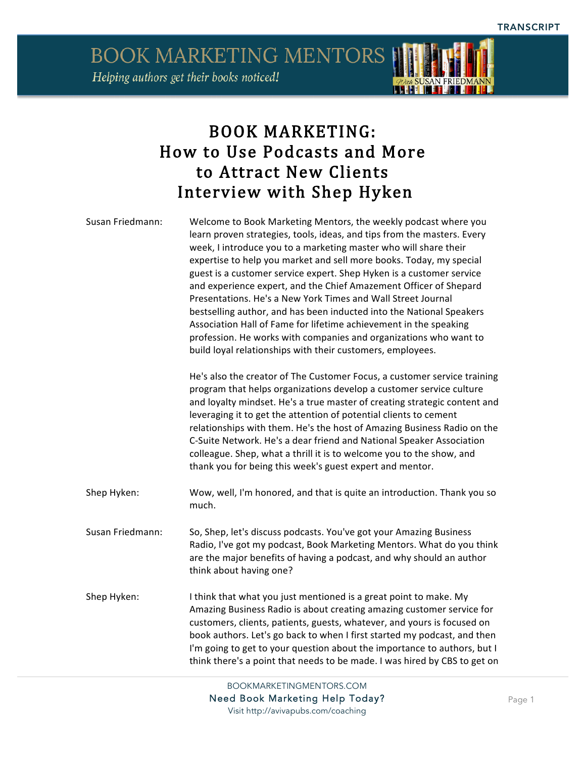

## BOOK MARKETING: How to Use Podcasts and More to Attract New Clients Interview with Shep Hyken

| Susan Friedmann: | Welcome to Book Marketing Mentors, the weekly podcast where you<br>learn proven strategies, tools, ideas, and tips from the masters. Every<br>week, I introduce you to a marketing master who will share their<br>expertise to help you market and sell more books. Today, my special<br>guest is a customer service expert. Shep Hyken is a customer service<br>and experience expert, and the Chief Amazement Officer of Shepard<br>Presentations. He's a New York Times and Wall Street Journal<br>bestselling author, and has been inducted into the National Speakers<br>Association Hall of Fame for lifetime achievement in the speaking<br>profession. He works with companies and organizations who want to<br>build loyal relationships with their customers, employees.<br>He's also the creator of The Customer Focus, a customer service training<br>program that helps organizations develop a customer service culture |
|------------------|---------------------------------------------------------------------------------------------------------------------------------------------------------------------------------------------------------------------------------------------------------------------------------------------------------------------------------------------------------------------------------------------------------------------------------------------------------------------------------------------------------------------------------------------------------------------------------------------------------------------------------------------------------------------------------------------------------------------------------------------------------------------------------------------------------------------------------------------------------------------------------------------------------------------------------------|
|                  | and loyalty mindset. He's a true master of creating strategic content and<br>leveraging it to get the attention of potential clients to cement<br>relationships with them. He's the host of Amazing Business Radio on the<br>C-Suite Network. He's a dear friend and National Speaker Association<br>colleague. Shep, what a thrill it is to welcome you to the show, and<br>thank you for being this week's guest expert and mentor.                                                                                                                                                                                                                                                                                                                                                                                                                                                                                                 |
| Shep Hyken:      | Wow, well, I'm honored, and that is quite an introduction. Thank you so<br>much.                                                                                                                                                                                                                                                                                                                                                                                                                                                                                                                                                                                                                                                                                                                                                                                                                                                      |
| Susan Friedmann: | So, Shep, let's discuss podcasts. You've got your Amazing Business<br>Radio, I've got my podcast, Book Marketing Mentors. What do you think<br>are the major benefits of having a podcast, and why should an author<br>think about having one?                                                                                                                                                                                                                                                                                                                                                                                                                                                                                                                                                                                                                                                                                        |
| Shep Hyken:      | I think that what you just mentioned is a great point to make. My<br>Amazing Business Radio is about creating amazing customer service for<br>customers, clients, patients, guests, whatever, and yours is focused on<br>book authors. Let's go back to when I first started my podcast, and then<br>I'm going to get to your question about the importance to authors, but I<br>think there's a point that needs to be made. I was hired by CBS to get on                                                                                                                                                                                                                                                                                                                                                                                                                                                                            |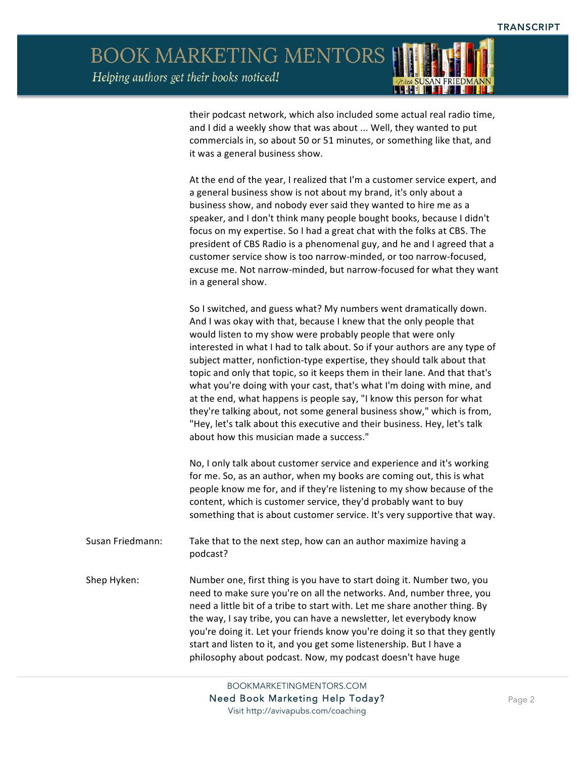

their podcast network, which also included some actual real radio time, and I did a weekly show that was about ... Well, they wanted to put commercials in, so about 50 or 51 minutes, or something like that, and it was a general business show.

At the end of the year, I realized that I'm a customer service expert, and a general business show is not about my brand, it's only about a business show, and nobody ever said they wanted to hire me as a speaker, and I don't think many people bought books, because I didn't focus on my expertise. So I had a great chat with the folks at CBS. The president of CBS Radio is a phenomenal guy, and he and I agreed that a customer service show is too narrow-minded, or too narrow-focused, excuse me. Not narrow-minded, but narrow-focused for what they want in a general show.

So I switched, and guess what? My numbers went dramatically down. And I was okay with that, because I knew that the only people that would listen to my show were probably people that were only interested in what I had to talk about. So if your authors are any type of subject matter, nonfiction-type expertise, they should talk about that topic and only that topic, so it keeps them in their lane. And that that's what you're doing with your cast, that's what I'm doing with mine, and at the end, what happens is people say, "I know this person for what they're talking about, not some general business show," which is from, "Hey, let's talk about this executive and their business. Hey, let's talk about how this musician made a success."

No, I only talk about customer service and experience and it's working for me. So, as an author, when my books are coming out, this is what people know me for, and if they're listening to my show because of the content, which is customer service, they'd probably want to buy something that is about customer service. It's very supportive that way.

- Susan Friedmann: Take that to the next step, how can an author maximize having a podcast?
- Shep Hyken: Number one, first thing is you have to start doing it. Number two, you need to make sure you're on all the networks. And, number three, you need a little bit of a tribe to start with. Let me share another thing. By the way, I say tribe, you can have a newsletter, let everybody know you're doing it. Let your friends know you're doing it so that they gently start and listen to it, and you get some listenership. But I have a philosophy about podcast. Now, my podcast doesn't have huge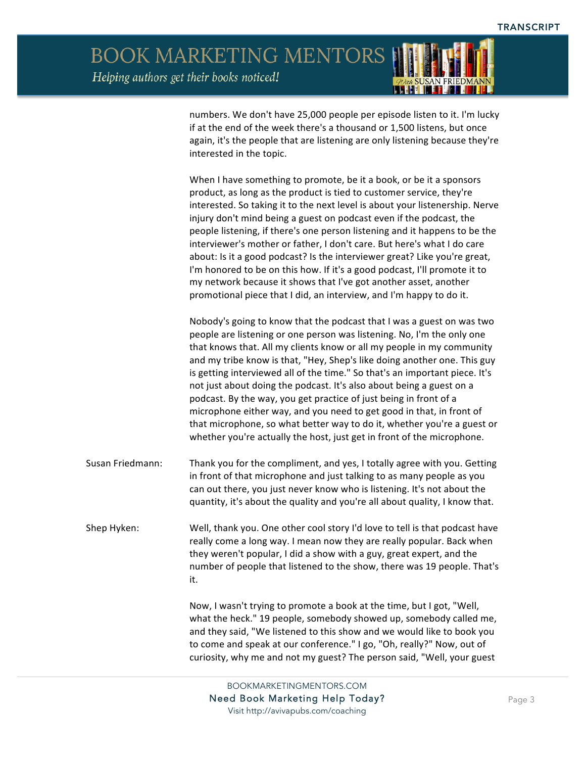

numbers. We don't have 25,000 people per episode listen to it. I'm lucky if at the end of the week there's a thousand or 1,500 listens, but once again, it's the people that are listening are only listening because they're interested in the topic.

When I have something to promote, be it a book, or be it a sponsors product, as long as the product is tied to customer service, they're interested. So taking it to the next level is about your listenership. Nerve injury don't mind being a guest on podcast even if the podcast, the people listening, if there's one person listening and it happens to be the interviewer's mother or father, I don't care. But here's what I do care about: Is it a good podcast? Is the interviewer great? Like you're great, I'm honored to be on this how. If it's a good podcast, I'll promote it to my network because it shows that I've got another asset, another promotional piece that I did, an interview, and I'm happy to do it.

Nobody's going to know that the podcast that I was a guest on was two people are listening or one person was listening. No, I'm the only one that knows that. All my clients know or all my people in my community and my tribe know is that, "Hey, Shep's like doing another one. This guy is getting interviewed all of the time." So that's an important piece. It's not just about doing the podcast. It's also about being a guest on a podcast. By the way, you get practice of just being in front of a microphone either way, and you need to get good in that, in front of that microphone, so what better way to do it, whether you're a guest or whether you're actually the host, just get in front of the microphone.

- Susan Friedmann: Thank you for the compliment, and yes, I totally agree with you. Getting in front of that microphone and just talking to as many people as you can out there, you just never know who is listening. It's not about the quantity, it's about the quality and you're all about quality, I know that.
- Shep Hyken: Well, thank you. One other cool story I'd love to tell is that podcast have really come a long way. I mean now they are really popular. Back when they weren't popular, I did a show with a guy, great expert, and the number of people that listened to the show, there was 19 people. That's it.

Now, I wasn't trying to promote a book at the time, but I got, "Well, what the heck." 19 people, somebody showed up, somebody called me, and they said, "We listened to this show and we would like to book you to come and speak at our conference." I go, "Oh, really?" Now, out of curiosity, why me and not my guest? The person said, "Well, your guest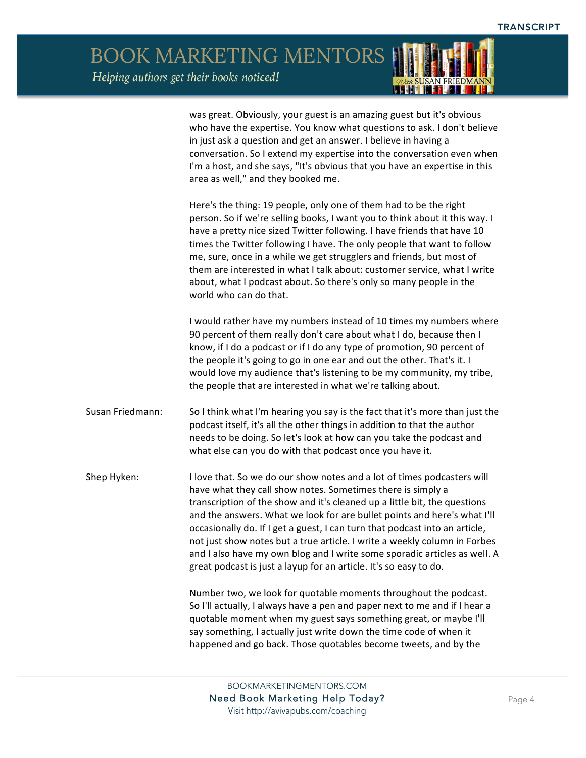*ADrea* S<mark>USAN FRIEDMANI</mark>

BOOK MARKETING MENTORS Helping authors get their books noticed!

|                  | was great. Obviously, your guest is an amazing guest but it's obvious<br>who have the expertise. You know what questions to ask. I don't believe<br>in just ask a question and get an answer. I believe in having a<br>conversation. So I extend my expertise into the conversation even when<br>I'm a host, and she says, "It's obvious that you have an expertise in this<br>area as well," and they booked me.                                                                                                                                                                                            |
|------------------|--------------------------------------------------------------------------------------------------------------------------------------------------------------------------------------------------------------------------------------------------------------------------------------------------------------------------------------------------------------------------------------------------------------------------------------------------------------------------------------------------------------------------------------------------------------------------------------------------------------|
|                  | Here's the thing: 19 people, only one of them had to be the right<br>person. So if we're selling books, I want you to think about it this way. I<br>have a pretty nice sized Twitter following. I have friends that have 10<br>times the Twitter following I have. The only people that want to follow<br>me, sure, once in a while we get strugglers and friends, but most of<br>them are interested in what I talk about: customer service, what I write<br>about, what I podcast about. So there's only so many people in the<br>world who can do that.                                                   |
|                  | I would rather have my numbers instead of 10 times my numbers where<br>90 percent of them really don't care about what I do, because then I<br>know, if I do a podcast or if I do any type of promotion, 90 percent of<br>the people it's going to go in one ear and out the other. That's it. I<br>would love my audience that's listening to be my community, my tribe,<br>the people that are interested in what we're talking about.                                                                                                                                                                     |
| Susan Friedmann: | So I think what I'm hearing you say is the fact that it's more than just the<br>podcast itself, it's all the other things in addition to that the author<br>needs to be doing. So let's look at how can you take the podcast and<br>what else can you do with that podcast once you have it.                                                                                                                                                                                                                                                                                                                 |
| Shep Hyken:      | I love that. So we do our show notes and a lot of times podcasters will<br>have what they call show notes. Sometimes there is simply a<br>transcription of the show and it's cleaned up a little bit, the questions<br>and the answers. What we look for are bullet points and here's what I'll<br>occasionally do. If I get a guest, I can turn that podcast into an article<br>not just show notes but a true article. I write a weekly column in Forbes<br>and I also have my own blog and I write some sporadic articles as well. A<br>great podcast is just a layup for an article. It's so easy to do. |
|                  | Number two, we look for quotable moments throughout the podcast.<br>So I'll actually, I always have a pen and paper next to me and if I hear a<br>quotable moment when my guest says something great, or maybe I'll<br>say something, I actually just write down the time code of when it<br>happened and go back. Those quotables become tweets, and by the                                                                                                                                                                                                                                                 |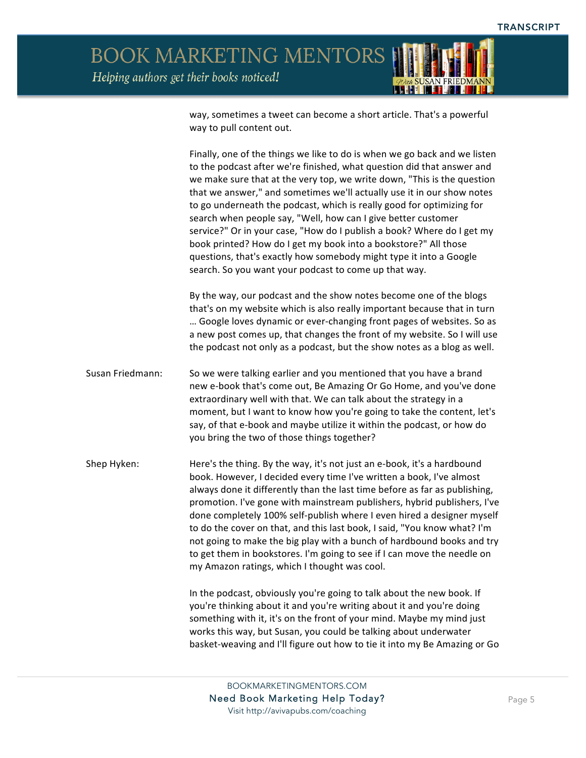

way, sometimes a tweet can become a short article. That's a powerful way to pull content out.

Finally, one of the things we like to do is when we go back and we listen to the podcast after we're finished, what question did that answer and we make sure that at the very top, we write down, "This is the question that we answer," and sometimes we'll actually use it in our show notes to go underneath the podcast, which is really good for optimizing for search when people say, "Well, how can I give better customer service?" Or in your case, "How do I publish a book? Where do I get my book printed? How do I get my book into a bookstore?" All those questions, that's exactly how somebody might type it into a Google search. So you want your podcast to come up that way.

By the way, our podcast and the show notes become one of the blogs that's on my website which is also really important because that in turn ... Google loves dynamic or ever-changing front pages of websites. So as a new post comes up, that changes the front of my website. So I will use the podcast not only as a podcast, but the show notes as a blog as well.

Susan Friedmann: So we were talking earlier and you mentioned that you have a brand new e-book that's come out, Be Amazing Or Go Home, and you've done extraordinary well with that. We can talk about the strategy in a moment, but I want to know how you're going to take the content, let's say, of that e-book and maybe utilize it within the podcast, or how do you bring the two of those things together?

Shep Hyken: Here's the thing. By the way, it's not just an e-book, it's a hardbound book. However, I decided every time I've written a book, I've almost always done it differently than the last time before as far as publishing, promotion. I've gone with mainstream publishers, hybrid publishers, I've done completely 100% self-publish where I even hired a designer myself to do the cover on that, and this last book, I said, "You know what? I'm not going to make the big play with a bunch of hardbound books and try to get them in bookstores. I'm going to see if I can move the needle on my Amazon ratings, which I thought was cool.

> In the podcast, obviously you're going to talk about the new book. If you're thinking about it and you're writing about it and you're doing something with it, it's on the front of your mind. Maybe my mind just works this way, but Susan, you could be talking about underwater basket-weaving and I'll figure out how to tie it into my Be Amazing or Go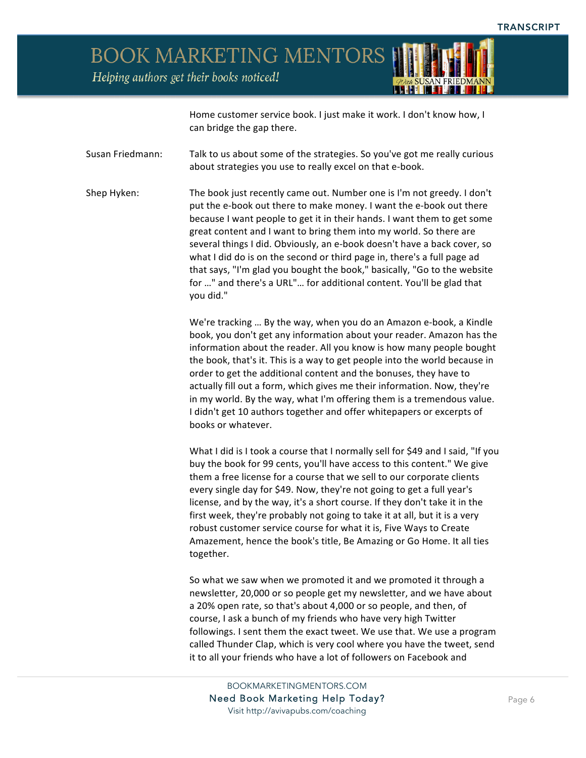

Home customer service book. I just make it work. I don't know how, I can bridge the gap there.

Susan Friedmann: Talk to us about some of the strategies. So you've got me really curious about strategies you use to really excel on that e-book.

Shep Hyken: The book just recently came out. Number one is I'm not greedy. I don't put the e-book out there to make money. I want the e-book out there because I want people to get it in their hands. I want them to get some great content and I want to bring them into my world. So there are several things I did. Obviously, an e-book doesn't have a back cover, so what I did do is on the second or third page in, there's a full page ad that says, "I'm glad you bought the book," basically, "Go to the website for ..." and there's a URL"... for additional content. You'll be glad that you did."

> We're tracking ... By the way, when you do an Amazon e-book, a Kindle book, you don't get any information about your reader. Amazon has the information about the reader. All you know is how many people bought the book, that's it. This is a way to get people into the world because in order to get the additional content and the bonuses, they have to actually fill out a form, which gives me their information. Now, they're in my world. By the way, what I'm offering them is a tremendous value. I didn't get 10 authors together and offer whitepapers or excerpts of books or whatever.

> What I did is I took a course that I normally sell for \$49 and I said, "If you buy the book for 99 cents, you'll have access to this content." We give them a free license for a course that we sell to our corporate clients every single day for \$49. Now, they're not going to get a full year's license, and by the way, it's a short course. If they don't take it in the first week, they're probably not going to take it at all, but it is a very robust customer service course for what it is, Five Ways to Create Amazement, hence the book's title, Be Amazing or Go Home. It all ties together.

So what we saw when we promoted it and we promoted it through a newsletter, 20,000 or so people get my newsletter, and we have about a 20% open rate, so that's about 4,000 or so people, and then, of course, I ask a bunch of my friends who have very high Twitter followings. I sent them the exact tweet. We use that. We use a program called Thunder Clap, which is very cool where you have the tweet, send it to all your friends who have a lot of followers on Facebook and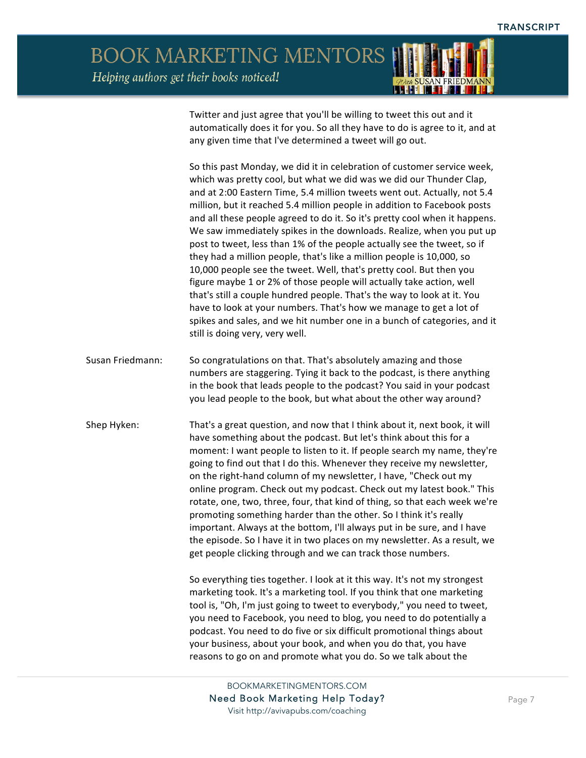

Twitter and just agree that you'll be willing to tweet this out and it automatically does it for you. So all they have to do is agree to it, and at any given time that I've determined a tweet will go out.

So this past Monday, we did it in celebration of customer service week, which was pretty cool, but what we did was we did our Thunder Clap, and at 2:00 Eastern Time, 5.4 million tweets went out. Actually, not 5.4 million, but it reached 5.4 million people in addition to Facebook posts and all these people agreed to do it. So it's pretty cool when it happens. We saw immediately spikes in the downloads. Realize, when you put up post to tweet, less than 1% of the people actually see the tweet, so if they had a million people, that's like a million people is 10,000, so 10,000 people see the tweet. Well, that's pretty cool. But then you figure maybe 1 or 2% of those people will actually take action, well that's still a couple hundred people. That's the way to look at it. You have to look at your numbers. That's how we manage to get a lot of spikes and sales, and we hit number one in a bunch of categories, and it still is doing very, very well.

- Susan Friedmann: So congratulations on that. That's absolutely amazing and those numbers are staggering. Tying it back to the podcast, is there anything in the book that leads people to the podcast? You said in your podcast you lead people to the book, but what about the other way around?
- Shep Hyken: That's a great question, and now that I think about it, next book, it will have something about the podcast. But let's think about this for a moment: I want people to listen to it. If people search my name, they're going to find out that I do this. Whenever they receive my newsletter, on the right-hand column of my newsletter, I have, "Check out my online program. Check out my podcast. Check out my latest book." This rotate, one, two, three, four, that kind of thing, so that each week we're promoting something harder than the other. So I think it's really important. Always at the bottom, I'll always put in be sure, and I have the episode. So I have it in two places on my newsletter. As a result, we get people clicking through and we can track those numbers.

So everything ties together. I look at it this way. It's not my strongest marketing took. It's a marketing tool. If you think that one marketing tool is, "Oh, I'm just going to tweet to everybody," you need to tweet, you need to Facebook, you need to blog, you need to do potentially a podcast. You need to do five or six difficult promotional things about your business, about your book, and when you do that, you have reasons to go on and promote what you do. So we talk about the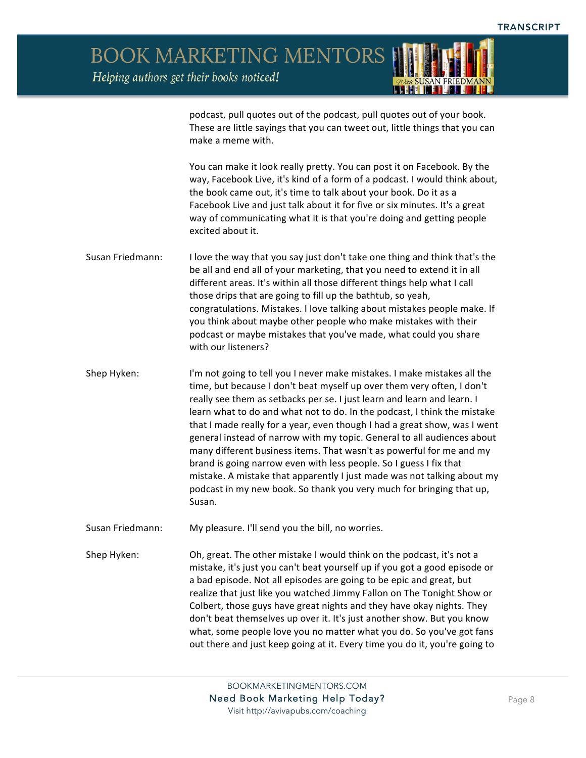

podcast, pull quotes out of the podcast, pull quotes out of your book. These are little sayings that you can tweet out, little things that you can make a meme with.

You can make it look really pretty. You can post it on Facebook. By the way, Facebook Live, it's kind of a form of a podcast. I would think about, the book came out, it's time to talk about your book. Do it as a Facebook Live and just talk about it for five or six minutes. It's a great way of communicating what it is that you're doing and getting people excited about it.

- Susan Friedmann: I love the way that you say just don't take one thing and think that's the be all and end all of your marketing, that you need to extend it in all different areas. It's within all those different things help what I call those drips that are going to fill up the bathtub, so yeah, congratulations. Mistakes. I love talking about mistakes people make. If you think about maybe other people who make mistakes with their podcast or maybe mistakes that you've made, what could you share with our listeners?
- Shep Hyken: I'm not going to tell you I never make mistakes. I make mistakes all the time, but because I don't beat myself up over them very often, I don't really see them as setbacks per se. I just learn and learn and learn. I learn what to do and what not to do. In the podcast, I think the mistake that I made really for a year, even though I had a great show, was I went general instead of narrow with my topic. General to all audiences about many different business items. That wasn't as powerful for me and my brand is going narrow even with less people. So I guess I fix that mistake. A mistake that apparently I just made was not talking about my podcast in my new book. So thank you very much for bringing that up, Susan.
- Susan Friedmann: My pleasure. I'll send you the bill, no worries.

Shep Hyken: Oh, great. The other mistake I would think on the podcast, it's not a mistake, it's just you can't beat yourself up if you got a good episode or a bad episode. Not all episodes are going to be epic and great, but realize that just like you watched Jimmy Fallon on The Tonight Show or Colbert, those guys have great nights and they have okay nights. They don't beat themselves up over it. It's just another show. But you know what, some people love you no matter what you do. So you've got fans out there and just keep going at it. Every time you do it, you're going to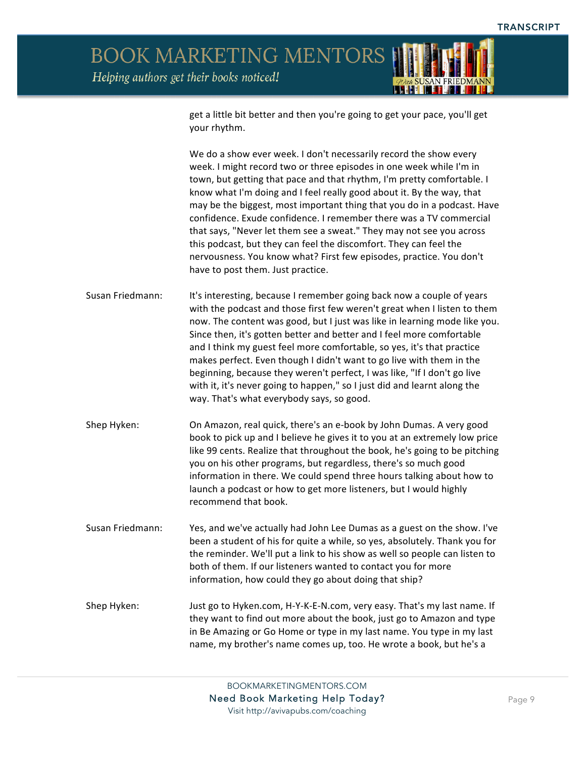

get a little bit better and then you're going to get your pace, you'll get your rhythm.

We do a show ever week. I don't necessarily record the show every week. I might record two or three episodes in one week while I'm in town, but getting that pace and that rhythm, I'm pretty comfortable. I know what I'm doing and I feel really good about it. By the way, that may be the biggest, most important thing that you do in a podcast. Have confidence. Exude confidence. I remember there was a TV commercial that says, "Never let them see a sweat." They may not see you across this podcast, but they can feel the discomfort. They can feel the nervousness. You know what? First few episodes, practice. You don't have to post them. Just practice.

- Susan Friedmann: It's interesting, because I remember going back now a couple of years with the podcast and those first few weren't great when I listen to them now. The content was good, but I just was like in learning mode like you. Since then, it's gotten better and better and I feel more comfortable and I think my guest feel more comfortable, so yes, it's that practice makes perfect. Even though I didn't want to go live with them in the beginning, because they weren't perfect, I was like, "If I don't go live with it, it's never going to happen," so I just did and learnt along the way. That's what everybody says, so good.
- Shep Hyken: On Amazon, real quick, there's an e-book by John Dumas. A very good book to pick up and I believe he gives it to you at an extremely low price like 99 cents. Realize that throughout the book, he's going to be pitching you on his other programs, but regardless, there's so much good information in there. We could spend three hours talking about how to launch a podcast or how to get more listeners, but I would highly recommend that book.
- Susan Friedmann: Yes, and we've actually had John Lee Dumas as a guest on the show. I've been a student of his for quite a while, so yes, absolutely. Thank you for the reminder. We'll put a link to his show as well so people can listen to both of them. If our listeners wanted to contact you for more information, how could they go about doing that ship?

Shep Hyken: Just go to Hyken.com, H-Y-K-E-N.com, very easy. That's my last name. If they want to find out more about the book, just go to Amazon and type in Be Amazing or Go Home or type in my last name. You type in my last name, my brother's name comes up, too. He wrote a book, but he's a